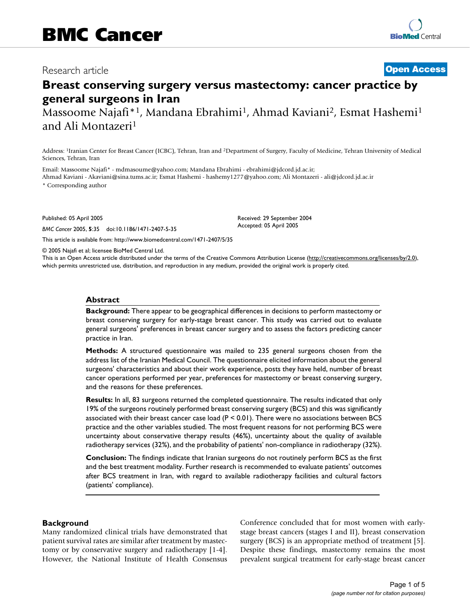# Research article **[Open Access](http://www.biomedcentral.com/info/about/charter/)**

# **Breast conserving surgery versus mastectomy: cancer practice by general surgeons in Iran**

Massoome Najafi\*<sup>1</sup>, Mandana Ebrahimi<sup>1</sup>, Ahmad Kaviani<sup>2</sup>, Esmat Hashemi<sup>1</sup> and Ali Montazeri1

Address: 1Iranian Center for Breast Cancer (ICBC), Tehran, Iran and 2Department of Surgery, Faculty of Medicine, Tehran University of Medical Sciences, Tehran, Iran

Email: Massoome Najafi\* - mdmasoume@yahoo.com; Mandana Ebrahimi - ebrahimi@jdcord.jd.ac.ir; Ahmad Kaviani - Akaviani@sina.tums.ac.ir; Esmat Hashemi - hashemy1277@yahoo.com; Ali Montazeri - ali@jdcord.jd.ac.ir

\* Corresponding author

Published: 05 April 2005

*BMC Cancer* 2005, **5**:35 doi:10.1186/1471-2407-5-35

[This article is available from: http://www.biomedcentral.com/1471-2407/5/35](http://www.biomedcentral.com/1471-2407/5/35)

© 2005 Najafi et al; licensee BioMed Central Ltd.

This is an Open Access article distributed under the terms of the Creative Commons Attribution License [\(http://creativecommons.org/licenses/by/2.0\)](http://creativecommons.org/licenses/by/2.0), which permits unrestricted use, distribution, and reproduction in any medium, provided the original work is properly cited.

Received: 29 September 2004 Accepted: 05 April 2005

#### **Abstract**

**Background:** There appear to be geographical differences in decisions to perform mastectomy or breast conserving surgery for early-stage breast cancer. This study was carried out to evaluate general surgeons' preferences in breast cancer surgery and to assess the factors predicting cancer practice in Iran.

**Methods:** A structured questionnaire was mailed to 235 general surgeons chosen from the address list of the Iranian Medical Council. The questionnaire elicited information about the general surgeons' characteristics and about their work experience, posts they have held, number of breast cancer operations performed per year, preferences for mastectomy or breast conserving surgery, and the reasons for these preferences.

**Results:** In all, 83 surgeons returned the completed questionnaire. The results indicated that only 19% of the surgeons routinely performed breast conserving surgery (BCS) and this was significantly associated with their breast cancer case load ( $P < 0.01$ ). There were no associations between BCS practice and the other variables studied. The most frequent reasons for not performing BCS were uncertainty about conservative therapy results (46%), uncertainty about the quality of available radiotherapy services (32%), and the probability of patients' non-compliance in radiotherapy (32%).

**Conclusion:** The findings indicate that Iranian surgeons do not routinely perform BCS as the first and the best treatment modality. Further research is recommended to evaluate patients' outcomes after BCS treatment in Iran, with regard to available radiotherapy facilities and cultural factors (patients' compliance).

#### **Background**

Many randomized clinical trials have demonstrated that patient survival rates are similar after treatment by mastectomy or by conservative surgery and radiotherapy [1-4]. However, the National Institute of Health Consensus Conference concluded that for most women with earlystage breast cancers (stages I and II), breast conservation surgery (BCS) is an appropriate method of treatment [5]. Despite these findings, mastectomy remains the most prevalent surgical treatment for early-stage breast cancer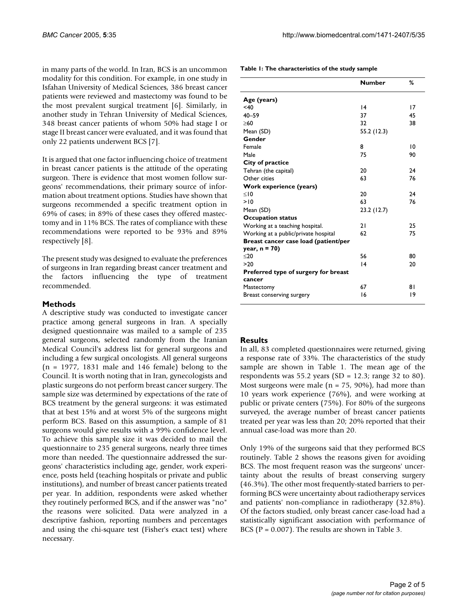in many parts of the world. In Iran, BCS is an uncommon modality for this condition. For example, in one study in Isfahan University of Medical Sciences, 386 breast cancer patients were reviewed and mastectomy was found to be the most prevalent surgical treatment [6]. Similarly, in another study in Tehran University of Medical Sciences, 348 breast cancer patients of whom 50% had stage I or stage II breast cancer were evaluated, and it was found that only 22 patients underwent BCS [7].

It is argued that one factor influencing choice of treatment in breast cancer patients is the attitude of the operating surgeon. There is evidence that most women follow surgeons' recommendations, their primary source of information about treatment options. Studies have shown that surgeons recommended a specific treatment option in 69% of cases; in 89% of these cases they offered mastectomy and in 11% BCS. The rates of compliance with these recommendations were reported to be 93% and 89% respectively [8].

The present study was designed to evaluate the preferences of surgeons in Iran regarding breast cancer treatment and the factors influencing the type of treatment recommended.

#### **Methods**

A descriptive study was conducted to investigate cancer practice among general surgeons in Iran. A specially designed questionnaire was mailed to a sample of 235 general surgeons, selected randomly from the Iranian Medical Council's address list for general surgeons and including a few surgical oncologists. All general surgeons  $(n = 1977, 1831$  male and 146 female) belong to the Council. It is worth noting that in Iran, gynecologists and plastic surgeons do not perform breast cancer surgery. The sample size was determined by expectations of the rate of BCS treatment by the general surgeons: it was estimated that at best 15% and at worst 5% of the surgeons might perform BCS. Based on this assumption, a sample of 81 surgeons would give results with a 99% confidence level. To achieve this sample size it was decided to mail the questionnaire to 235 general surgeons, nearly three times more than needed. The questionnaire addressed the surgeons' characteristics including age, gender, work experience, posts held (teaching hospitals or private and public institutions), and number of breast cancer patients treated per year. In addition, respondents were asked whether they routinely performed BCS, and if the answer was "no" the reasons were solicited. Data were analyzed in a descriptive fashion, reporting numbers and percentages and using the chi-square test (Fisher's exact test) where necessary.

| Table 1: The characteristics of the study sample |  |
|--------------------------------------------------|--|
|--------------------------------------------------|--|

|                                                | <b>Number</b> | ℅  |
|------------------------------------------------|---------------|----|
| Age (years)                                    |               |    |
| < 40                                           | 4             | 17 |
| $40 - 59$                                      | 37            | 45 |
| >60                                            | 32            | 38 |
| Mean (SD)                                      | 55.2 (12.3)   |    |
| Gender                                         |               |    |
| Female                                         | 8             | 10 |
| Male                                           | 75            | 90 |
| City of practice                               |               |    |
| Tehran (the capital)                           | 20            | 24 |
| Other cities                                   | 63            | 76 |
| Work experience (years)                        |               |    |
| < 10                                           | 20            | 24 |
| >10                                            | 63            | 76 |
| Mean (SD)                                      | 23.2 (12.7)   |    |
| <b>Occupation status</b>                       |               |    |
| Working at a teaching hospital.                | 21            | 25 |
| Working at a public/private hospital           | 62            | 75 |
| Breast cancer case load (patient/per           |               |    |
| year, $n = 70$                                 |               |    |
| $20$                                           | 56            | 80 |
| >20                                            | 4             | 20 |
| Preferred type of surgery for breast<br>cancer |               |    |
| Mastectomy                                     | 67            | 81 |
| Breast conserving surgery                      | 16            | 19 |
|                                                |               |    |

#### **Results**

In all, 83 completed questionnaires were returned, giving a response rate of 33%. The characteristics of the study sample are shown in Table 1. The mean age of the respondents was 55.2 years (SD = 12.3; range 32 to 80). Most surgeons were male ( $n = 75$ , 90%), had more than 10 years work experience (76%), and were working at public or private centers (75%). For 80% of the surgeons surveyed, the average number of breast cancer patients treated per year was less than 20; 20% reported that their annual case-load was more than 20.

Only 19% of the surgeons said that they performed BCS routinely. Table 2 shows the reasons given for avoiding BCS. The most frequent reason was the surgeons' uncertainty about the results of breast conserving surgery (46.3%). The other most frequently-stated barriers to performing BCS were uncertainty about radiotherapy services and patients' non-compliance in radiotherapy (32.8%). Of the factors studied, only breast cancer case-load had a statistically significant association with performance of BCS ( $P = 0.007$ ). The results are shown in Table 3.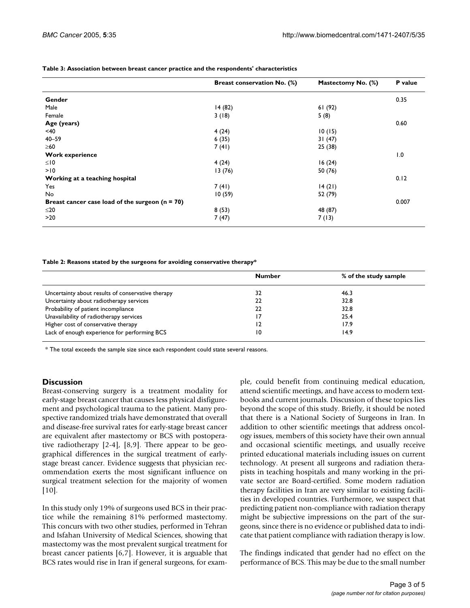|                                                   | Breast conservation No. (%) | Mastectomy No. (%) | P value |
|---------------------------------------------------|-----------------------------|--------------------|---------|
| Gender                                            |                             |                    | 0.35    |
| Male                                              | 14(82)                      | 61(92)             |         |
| Female                                            | 3(18)                       | 5(8)               |         |
| Age (years)                                       |                             |                    | 0.60    |
| $<$ 40                                            | 4(24)                       | 10(15)             |         |
| $40 - 59$                                         | 6(35)                       | 31(47)             |         |
| $\geq 60$                                         | 7(41)                       | 25 (38)            |         |
| <b>Work experience</b>                            |                             |                    | 1.0     |
| $\leq 10$                                         | 4(24)                       | 16(24)             |         |
| >10                                               | 13(76)                      | 50 (76)            |         |
| Working at a teaching hospital                    |                             |                    | 0.12    |
| Yes                                               | 7(41)                       | 14(21)             |         |
| No                                                | 10(59)                      | 52 (79)            |         |
| Breast cancer case load of the surgeon $(n = 70)$ |                             |                    | 0.007   |
| $≤20$                                             | 8(53)                       | 48 (87)            |         |
| >20                                               | 7(47)                       | 7(13)              |         |

**Table 3: Association between breast cancer practice and the respondents' characteristics**

**Table 2: Reasons stated by the surgeons for avoiding conservative therapy\***

|                                                   | <b>Number</b> | % of the study sample |
|---------------------------------------------------|---------------|-----------------------|
| Uncertainty about results of conservative therapy | 32            | 46.3                  |
| Uncertainty about radiotherapy services           | 22            | 32.8                  |
| Probability of patient incompliance               | 22            | 32.8                  |
| Unavailability of radiotherapy services           | .7            | 25.4                  |
| Higher cost of conservative therapy               | 12            | 17.9                  |
| Lack of enough experience for performing BCS      | 10            | 14.9                  |

 $*$  The total exceeds the sample size since each respondent could state several reasons.

#### **Discussion**

Breast-conserving surgery is a treatment modality for early-stage breast cancer that causes less physical disfigurement and psychological trauma to the patient. Many prospective randomized trials have demonstrated that overall and disease-free survival rates for early-stage breast cancer are equivalent after mastectomy or BCS with postoperative radiotherapy [2-4], [8,9]. There appear to be geographical differences in the surgical treatment of earlystage breast cancer. Evidence suggests that physician recommendation exerts the most significant influence on surgical treatment selection for the majority of women  $[10]$ .

In this study only 19% of surgeons used BCS in their practice while the remaining 81% performed mastectomy. This concurs with two other studies, performed in Tehran and Isfahan University of Medical Sciences, showing that mastectomy was the most prevalent surgical treatment for breast cancer patients [6,7]. However, it is arguable that BCS rates would rise in Iran if general surgeons, for example, could benefit from continuing medical education, attend scientific meetings, and have access to modern textbooks and current journals. Discussion of these topics lies beyond the scope of this study. Briefly, it should be noted that there is a National Society of Surgeons in Iran. In addition to other scientific meetings that address oncology issues, members of this society have their own annual and occasional scientific meetings, and usually receive printed educational materials including issues on current technology. At present all surgeons and radiation therapists in teaching hospitals and many working in the private sector are Board-certified. Some modern radiation therapy facilities in Iran are very similar to existing facilities in developed countries. Furthermore, we suspect that predicting patient non-compliance with radiation therapy might be subjective impressions on the part of the surgeons, since there is no evidence or published data to indicate that patient compliance with radiation therapy is low.

The findings indicated that gender had no effect on the performance of BCS. This may be due to the small number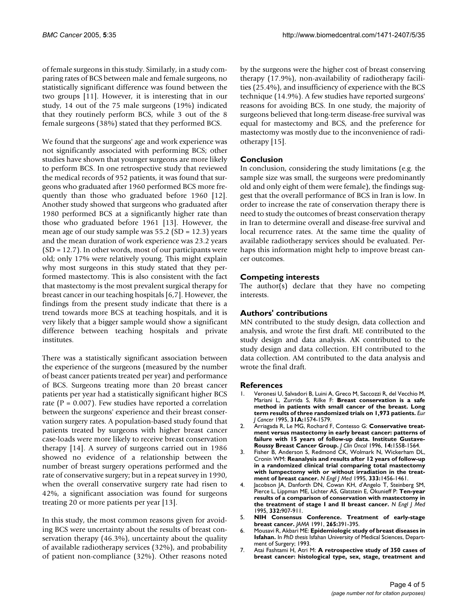of female surgeons in this study. Similarly, in a study comparing rates of BCS between male and female surgeons, no statistically significant difference was found between the two groups [11]. However, it is interesting that in our study, 14 out of the 75 male surgeons (19%) indicated that they routinely perform BCS, while 3 out of the 8 female surgeons (38%) stated that they performed BCS.

We found that the surgeons' age and work experience was not significantly associated with performing BCS; other studies have shown that younger surgeons are more likely to perform BCS. In one retrospective study that reviewed the medical records of 952 patients, it was found that surgeons who graduated after 1960 performed BCS more frequently than those who graduated before 1960 [12]. Another study showed that surgeons who graduated after 1980 performed BCS at a significantly higher rate than those who graduated before 1961 [13]. However, the mean age of our study sample was  $55.2$  (SD = 12.3) years and the mean duration of work experience was 23.2 years (SD = 12.7). In other words, most of our participants were old; only 17% were relatively young. This might explain why most surgeons in this study stated that they performed mastectomy. This is also consistent with the fact that mastectomy is the most prevalent surgical therapy for breast cancer in our teaching hospitals [6,7]. However, the findings from the present study indicate that there is a trend towards more BCS at teaching hospitals, and it is very likely that a bigger sample would show a significant difference between teaching hospitals and private institutes.

There was a statistically significant association between the experience of the surgeons (measured by the number of beast cancer patients treated per year) and performance of BCS. Surgeons treating more than 20 breast cancer patients per year had a statistically significant higher BCS rate ( $P = 0.007$ ). Few studies have reported a correlation between the surgeons' experience and their breast conservation surgery rates. A population-based study found that patients treated by surgeons with higher breast cancer case-loads were more likely to receive breast conservation therapy [14]. A survey of surgeons carried out in 1986 showed no evidence of a relationship between the number of breast surgery operations performed and the rate of conservative surgery; but in a repeat survey in 1990, when the overall conservative surgery rate had risen to 42%, a significant association was found for surgeons treating 20 or more patients per year [13].

In this study, the most common reasons given for avoiding BCS were uncertainty about the results of breast conservation therapy (46.3%), uncertainty about the quality of available radiotherapy services (32%), and probability of patient non-compliance (32%). Other reasons noted

by the surgeons were the higher cost of breast conserving therapy (17.9%), non-availability of radiotherapy facilities (25.4%), and insufficiency of experience with the BCS technique (14.9%). A few studies have reported surgeons' reasons for avoiding BCS. In one study, the majority of surgeons believed that long-term disease-free survival was equal for mastectomy and BCS, and the preference for mastectomy was mostly due to the inconvenience of radiotherapy [15].

## **Conclusion**

In conclusion, considering the study limitations (e.g. the sample size was small, the surgeons were predominantly old and only eight of them were female), the findings suggest that the overall performance of BCS in Iran is low. In order to increase the rate of conservation therapy there is need to study the outcomes of breast conservation therapy in Iran to determine overall and disease-free survival and local recurrence rates. At the same time the quality of available radiotherapy services should be evaluated. Perhaps this information might help to improve breast cancer outcomes.

## **Competing interests**

The author(s) declare that they have no competing interests.

#### **Authors' contributions**

MN contributed to the study design, data collection and analysis, and wrote the first draft. ME contributed to the study design and data analysis. AK contributed to the study design and data collection. EH contributed to the data collection. AM contributed to the data analysis and wrote the final draft.

#### **References**

- 1. Veronesi U, Salvadori B, Luini A, Greco M, Saccozzi R, del Vecchio M, Mariani L, Zurrida S, Rilke F: **[Breast conservation is a safe](http://www.ncbi.nlm.nih.gov/entrez/query.fcgi?cmd=Retrieve&db=PubMed&dopt=Abstract&list_uids=7488404) [method in patients with small cancer of the breast. Long](http://www.ncbi.nlm.nih.gov/entrez/query.fcgi?cmd=Retrieve&db=PubMed&dopt=Abstract&list_uids=7488404) [term results of three randomized trials on 1,973 patients.](http://www.ncbi.nlm.nih.gov/entrez/query.fcgi?cmd=Retrieve&db=PubMed&dopt=Abstract&list_uids=7488404)** *Eur J Cancer* 1995, **31A:**1574-1579.
- 2. Arriagada R, Le MG, Rochard F, Contesso G: **[Conservative treat](http://www.ncbi.nlm.nih.gov/entrez/query.fcgi?cmd=Retrieve&db=PubMed&dopt=Abstract&list_uids=8622072)ment versus mastectomy in early breast cancer: patterns of [failure with 15 years of follow-up data. Institute Gustave-](http://www.ncbi.nlm.nih.gov/entrez/query.fcgi?cmd=Retrieve&db=PubMed&dopt=Abstract&list_uids=8622072)[Roussy Breast Cancer Group.](http://www.ncbi.nlm.nih.gov/entrez/query.fcgi?cmd=Retrieve&db=PubMed&dopt=Abstract&list_uids=8622072)** *J Clin Oncol* 1996, **14:**1558-1564.
- 3. Fisher B, Anderson S, Redmond CK, Wolmark N, Wickerham DL, Cronin WM: **[Reanalysis and results after 12 years of follow-up](http://www.ncbi.nlm.nih.gov/entrez/query.fcgi?cmd=Retrieve&db=PubMed&dopt=Abstract&list_uids=7477145) in a randomized clinical trial comparing total mastectomy [with lumpectomy with or without irradiation in the treat](http://www.ncbi.nlm.nih.gov/entrez/query.fcgi?cmd=Retrieve&db=PubMed&dopt=Abstract&list_uids=7477145)[ment of breast cancer.](http://www.ncbi.nlm.nih.gov/entrez/query.fcgi?cmd=Retrieve&db=PubMed&dopt=Abstract&list_uids=7477145)** *N Engl J Med* 1995, **333:**1456-1461.
- 4. Jacobson JA, Danforth DN, Cowan KH, d'Angelo T, Steinberg SM, Pierce L, Lippman ME, Lichter AS, Glatstein E, Okunieff P: **[Ten-year](http://www.ncbi.nlm.nih.gov/entrez/query.fcgi?cmd=Retrieve&db=PubMed&dopt=Abstract&list_uids=7877647) [results of a comparison of conservation with mastectomy in](http://www.ncbi.nlm.nih.gov/entrez/query.fcgi?cmd=Retrieve&db=PubMed&dopt=Abstract&list_uids=7877647) [the treatment of stage I and II breast cancer.](http://www.ncbi.nlm.nih.gov/entrez/query.fcgi?cmd=Retrieve&db=PubMed&dopt=Abstract&list_uids=7877647)** *N Engl J Med* 1995, **332:**907-911.
- 5. **[NIH Consensus Conference. Treatment of early-stage](http://www.ncbi.nlm.nih.gov/entrez/query.fcgi?cmd=Retrieve&db=PubMed&dopt=Abstract&list_uids=1984541) [breast cancer.](http://www.ncbi.nlm.nih.gov/entrez/query.fcgi?cmd=Retrieve&db=PubMed&dopt=Abstract&list_uids=1984541)** *JAMA* 1991, **265:**391-395.
- 6. Mousavi R, Akbari ME: **Epidemiologic study of breast diseases in Isfahan.** In *PhD thesis* Isfahan University of Medical Sciences, Department of Surgery; 1993.
- 7. Atai Fashtami H, Atri M: **A retrospective study of 350 cases of breast cancer: histological type, sex, stage, treatment and**